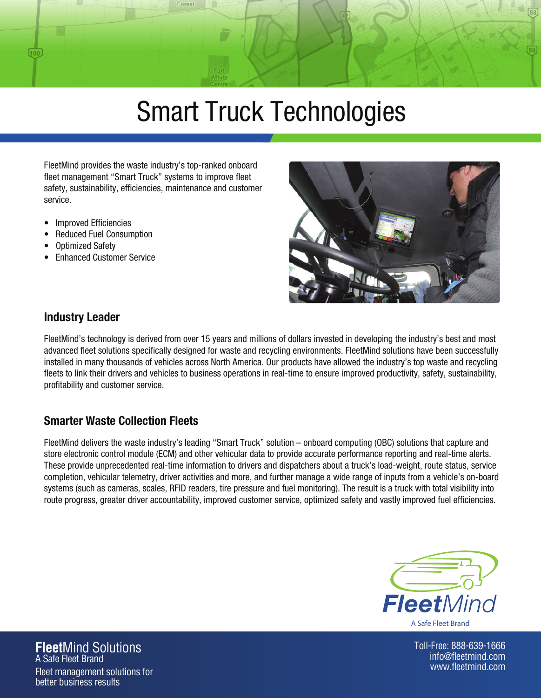# Smart Truck Technologies

FleetMind provides the waste industry's top-ranked onboard fleet management "Smart Truck" systems to improve fleet safety, sustainability, efficiencies, maintenance and customer service.

- Improved Efficiencies
- Reduced Fuel Consumption
- Optimized Safety

 $\overline{100}$ 

• Enhanced Customer Service



#### Industry Leader

FleetMind's technology is derived from over 15 years and millions of dollars invested in developing the industry's best and most advanced fleet solutions specifically designed for waste and recycling environments. FleetMind solutions have been successfully installed in many thousands of vehicles across North America. Our products have allowed the industry's top waste and recycling fleets to link their drivers and vehicles to business operations in real-time to ensure improved productivity, safety, sustainability, profitability and customer service.

## Smarter Waste Collection Fleets

FleetMind delivers the waste industry's leading "Smart Truck" solution – onboard computing (OBC) solutions that capture and store electronic control module (ECM) and other vehicular data to provide accurate performance reporting and real-time alerts. These provide unprecedented real-time information to drivers and dispatchers about a truck's load-weight, route status, service completion, vehicular telemetry, driver activities and more, and further manage a wide range of inputs from a vehicle's on-board systems (such as cameras, scales, RFID readers, tire pressure and fuel monitoring). The result is a truck with total visibility into route progress, greater driver accountability, improved customer service, optimized safety and vastly improved fuel efficiencies.



Toll-Free: 888-639-1666 info@fleetmind.com www.fleetmind.com

**Fleet**Mind Solutions A Safe Fleet Brand Fleet management solutions for better business results